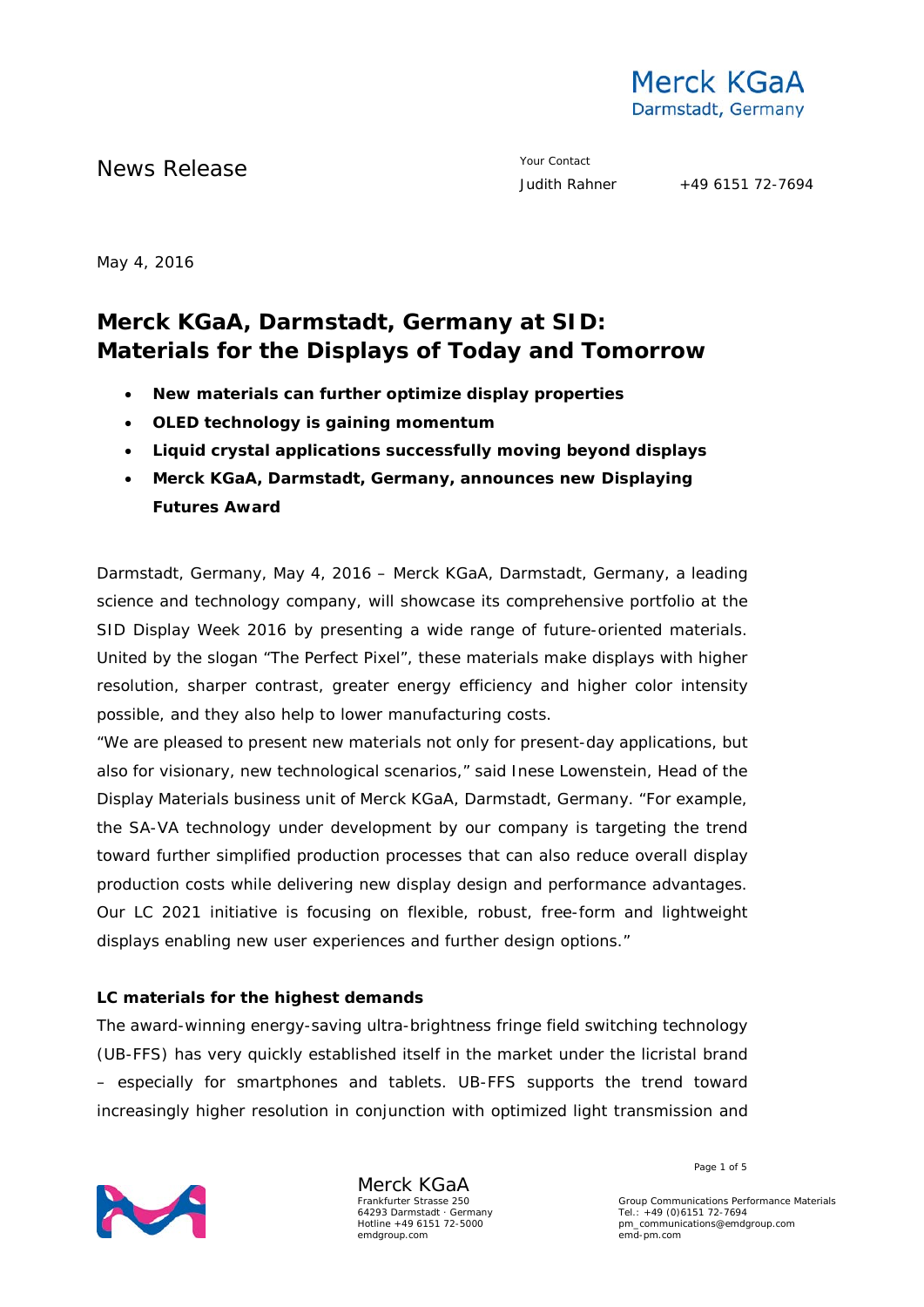

News Release **Your Contact** 

May 4, 2016

# **Merck KGaA, Darmstadt, Germany at SID: Materials for the Displays of Today and Tomorrow**

- **New materials can further optimize display properties**
- **OLED technology is gaining momentum**
- **Liquid crystal applications successfully moving beyond displays**
- **Merck KGaA, Darmstadt, Germany, announces new Displaying Futures Award**

Darmstadt, Germany, May 4, 2016 – Merck KGaA, Darmstadt, Germany, a leading science and technology company, will showcase its comprehensive portfolio at the SID Display Week 2016 by presenting a wide range of future-oriented materials. United by the slogan "The Perfect Pixel", these materials make displays with higher resolution, sharper contrast, greater energy efficiency and higher color intensity possible, and they also help to lower manufacturing costs.

"We are pleased to present new materials not only for present-day applications, but also for visionary, new technological scenarios," said Inese Lowenstein, Head of the Display Materials business unit of Merck KGaA, Darmstadt, Germany. "For example, the SA-VA technology under development by our company is targeting the trend toward further simplified production processes that can also reduce overall display production costs while delivering new display design and performance advantages. Our LC 2021 initiative is focusing on flexible, robust, free-form and lightweight displays enabling new user experiences and further design options."

#### **LC materials for the highest demands**

The award-winning energy-saving ultra-brightness fringe field switching technology (UB-FFS) has very quickly established itself in the market under the licristal brand – especially for smartphones and tablets. UB-FFS supports the trend toward increasingly higher resolution in conjunction with optimized light transmission and



Merck KGaA Frankfurter Strasse 250 64293 Darmstadt · Germany Hotline +49 6151 72-5000 emdgroup.com

Page 1 of 5

Group Communications Performance Materials Tel.: +49 (0)6151 72-7694 pm\_communications@emdgroup.com emd-pm.com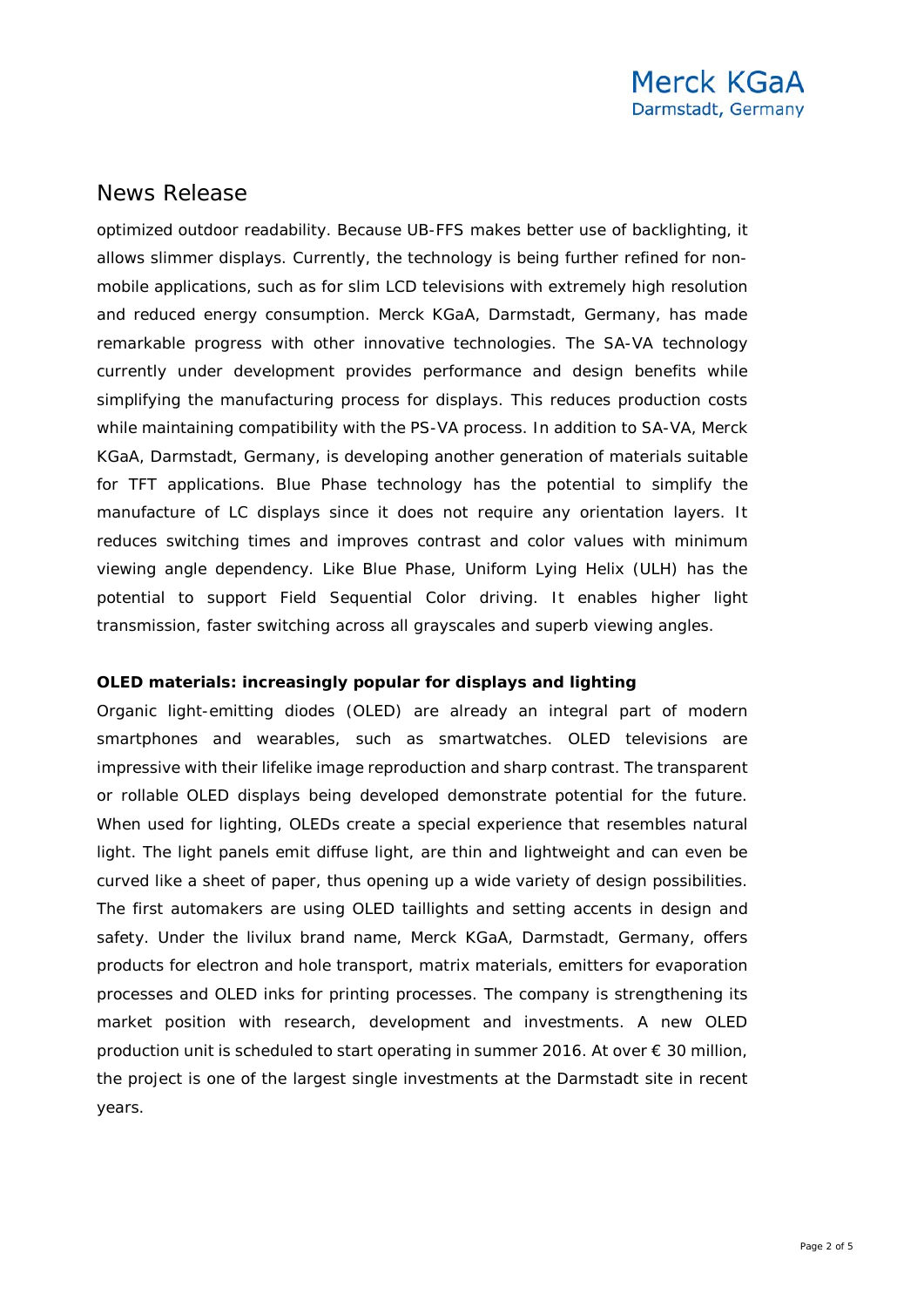optimized outdoor readability. Because UB-FFS makes better use of backlighting, it allows slimmer displays. Currently, the technology is being further refined for nonmobile applications, such as for slim LCD televisions with extremely high resolution and reduced energy consumption. Merck KGaA, Darmstadt, Germany, has made remarkable progress with other innovative technologies. The SA-VA technology currently under development provides performance and design benefits while simplifying the manufacturing process for displays. This reduces production costs while maintaining compatibility with the PS-VA process. In addition to SA-VA, Merck KGaA, Darmstadt, Germany, is developing another generation of materials suitable for TFT applications. Blue Phase technology has the potential to simplify the manufacture of LC displays since it does not require any orientation layers. It reduces switching times and improves contrast and color values with minimum viewing angle dependency. Like Blue Phase, Uniform Lying Helix (ULH) has the potential to support Field Sequential Color driving. It enables higher light transmission, faster switching across all grayscales and superb viewing angles.

#### **OLED materials: increasingly popular for displays and lighting**

Organic light-emitting diodes (OLED) are already an integral part of modern smartphones and wearables, such as smartwatches. OLED televisions are impressive with their lifelike image reproduction and sharp contrast. The transparent or rollable OLED displays being developed demonstrate potential for the future. When used for lighting, OLEDs create a special experience that resembles natural light. The light panels emit diffuse light, are thin and lightweight and can even be curved like a sheet of paper, thus opening up a wide variety of design possibilities. The first automakers are using OLED taillights and setting accents in design and safety. Under the livilux brand name, Merck KGaA, Darmstadt, Germany, offers products for electron and hole transport, matrix materials, emitters for evaporation processes and OLED inks for printing processes. The company is strengthening its market position with research, development and investments. A new OLED production unit is scheduled to start operating in summer 2016. At over  $\epsilon$  30 million, the project is one of the largest single investments at the Darmstadt site in recent years.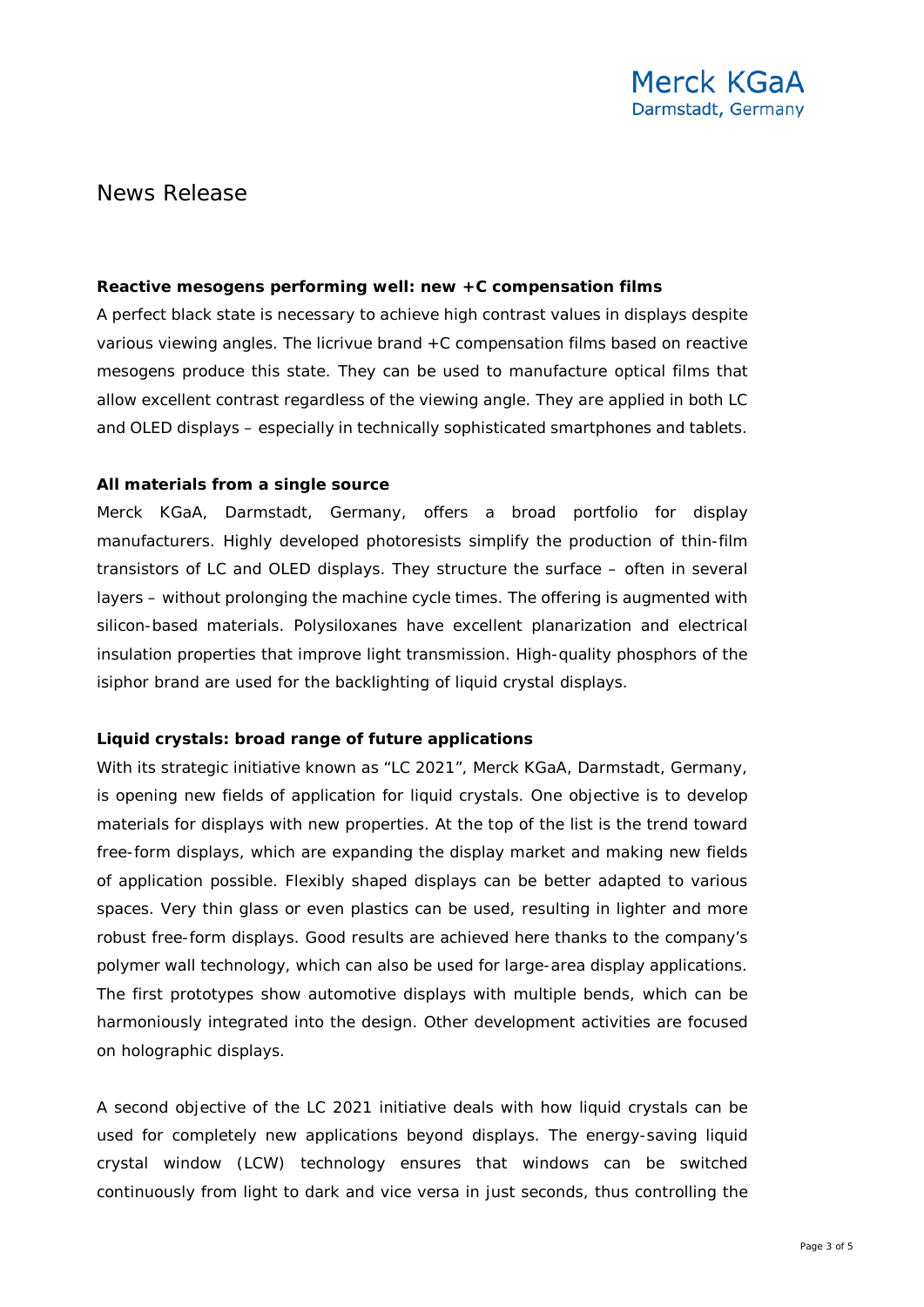#### **Reactive mesogens performing well: new +C compensation films**

A perfect black state is necessary to achieve high contrast values in displays despite various viewing angles. The licrivue brand +C compensation films based on reactive mesogens produce this state. They can be used to manufacture optical films that allow excellent contrast regardless of the viewing angle. They are applied in both LC and OLED displays – especially in technically sophisticated smartphones and tablets.

#### **All materials from a single source**

Merck KGaA, Darmstadt, Germany, offers a broad portfolio for display manufacturers. Highly developed photoresists simplify the production of thin-film transistors of LC and OLED displays. They structure the surface – often in several layers – without prolonging the machine cycle times. The offering is augmented with silicon-based materials. Polysiloxanes have excellent planarization and electrical insulation properties that improve light transmission. High-quality phosphors of the isiphor brand are used for the backlighting of liquid crystal displays.

#### **Liquid crystals: broad range of future applications**

With its strategic initiative known as "LC 2021", Merck KGaA, Darmstadt, Germany, is opening new fields of application for liquid crystals. One objective is to develop materials for displays with new properties. At the top of the list is the trend toward free-form displays, which are expanding the display market and making new fields of application possible. Flexibly shaped displays can be better adapted to various spaces. Very thin glass or even plastics can be used, resulting in lighter and more robust free-form displays. Good results are achieved here thanks to the company's polymer wall technology, which can also be used for large-area display applications. The first prototypes show automotive displays with multiple bends, which can be harmoniously integrated into the design. Other development activities are focused on holographic displays.

A second objective of the LC 2021 initiative deals with how liquid crystals can be used for completely new applications beyond displays. The energy-saving liquid crystal window (LCW) technology ensures that windows can be switched continuously from light to dark and vice versa in just seconds, thus controlling the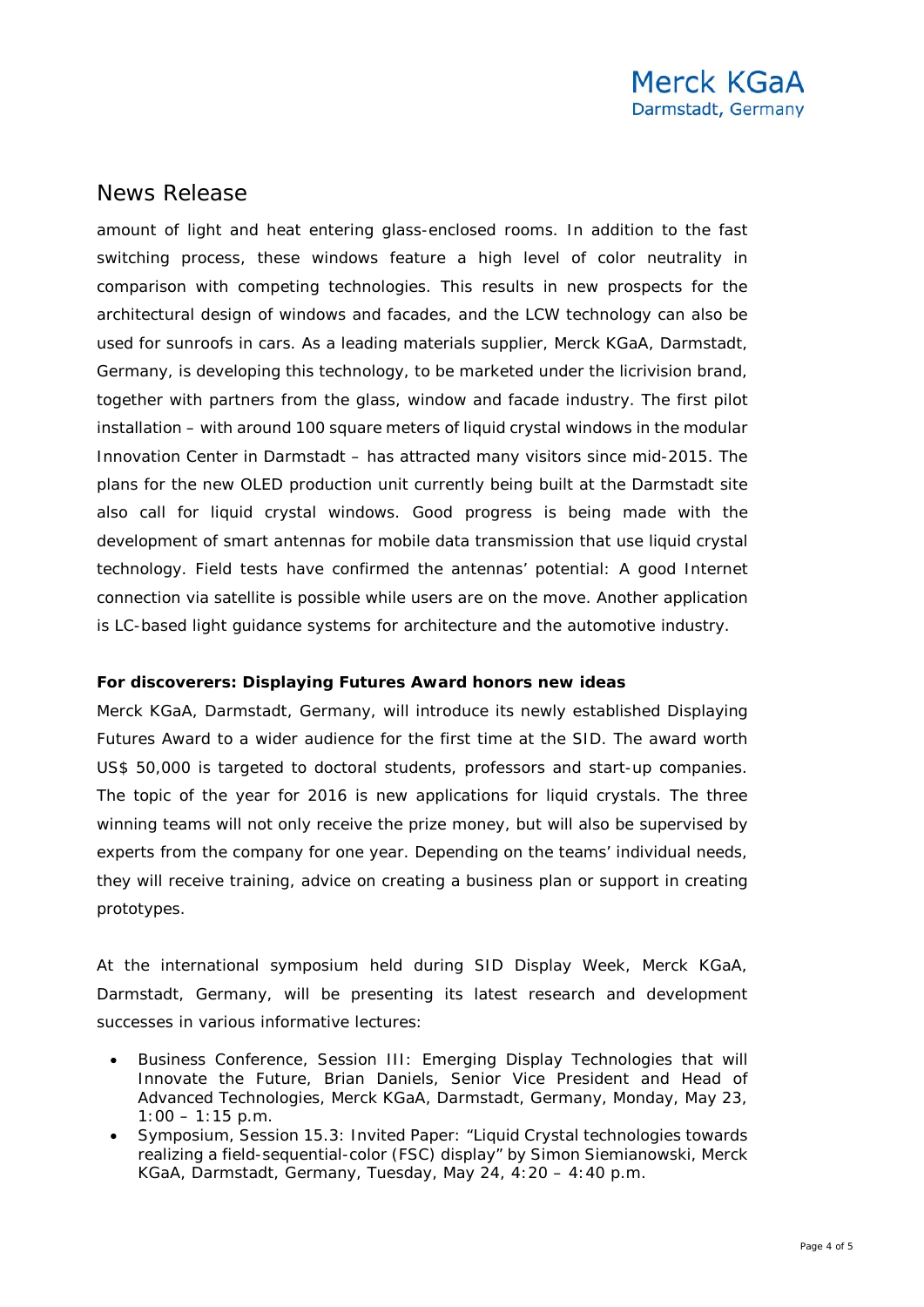amount of light and heat entering glass-enclosed rooms. In addition to the fast switching process, these windows feature a high level of color neutrality in comparison with competing technologies. This results in new prospects for the architectural design of windows and facades, and the LCW technology can also be used for sunroofs in cars. As a leading materials supplier, Merck KGaA, Darmstadt, Germany, is developing this technology, to be marketed under the licrivision brand, together with partners from the glass, window and facade industry. The first pilot installation – with around 100 square meters of liquid crystal windows in the modular Innovation Center in Darmstadt – has attracted many visitors since mid-2015. The plans for the new OLED production unit currently being built at the Darmstadt site also call for liquid crystal windows. Good progress is being made with the development of smart antennas for mobile data transmission that use liquid crystal technology. Field tests have confirmed the antennas' potential: A good Internet connection via satellite is possible while users are on the move. Another application is LC-based light guidance systems for architecture and the automotive industry.

#### **For discoverers: Displaying Futures Award honors new ideas**

Merck KGaA, Darmstadt, Germany, will introduce its newly established Displaying Futures Award to a wider audience for the first time at the SID. The award worth US\$ 50,000 is targeted to doctoral students, professors and start-up companies. The topic of the year for 2016 is new applications for liquid crystals. The three winning teams will not only receive the prize money, but will also be supervised by experts from the company for one year. Depending on the teams' individual needs, they will receive training, advice on creating a business plan or support in creating prototypes.

At the international symposium held during SID Display Week, Merck KGaA, Darmstadt, Germany, will be presenting its latest research and development successes in various informative lectures:

- Business Conference, Session III: Emerging Display Technologies that will Innovate the Future, Brian Daniels, Senior Vice President and Head of Advanced Technologies, Merck KGaA, Darmstadt, Germany, Monday, May 23,  $1:00 - 1:15$  p.m.
- Symposium, Session 15.3: Invited Paper: "Liquid Crystal technologies towards realizing a field-sequential-color (FSC) display" by Simon Siemianowski, Merck KGaA, Darmstadt, Germany, Tuesday, May 24, 4:20 – 4:40 p.m.